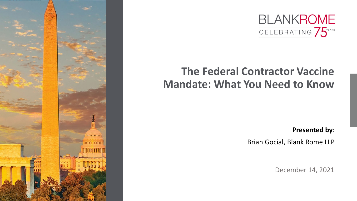



# **The Federal Contractor Vaccine Mandate: What You Need to Know**

**Presented by**:

Brian Gocial, Blank Rome LLP

December 14, 2021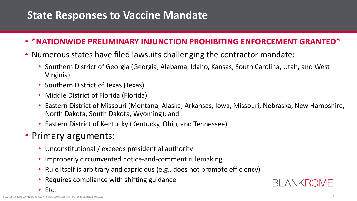#### **State Responses to Vaccine Mandate**

- **\*NATIONWIDE PRELIMINARY INJUNCTION PROHIBITING ENFORCEMENT GRANTED\***
- Numerous states have filed lawsuits challenging the contractor mandate:
	- Southern District of Georgia (Georgia, Alabama, Idaho, Kansas, South Carolina, Utah, and West Virginia)
	- Southern District of Texas (Texas)
	- Middle District of Florida (Florida)
	- Eastern District of Missouri (Montana, Alaska, Arkansas, Iowa, Missouri, Nebraska, New Hampshire, North Dakota, South Dakota, Wyoming); and
	- Eastern District of Kentucky (Kentucky, Ohio, and Tennessee)
- Primary arguments:
	- Unconstitutional / exceeds presidential authority
	- Improperly circumvented notice-and-comment rulemaking
	- Rule itself is arbitrary and capricious (e.g., does not promote efficiency)
	- Requires compliance with shifting guidance



**BI ANKROME**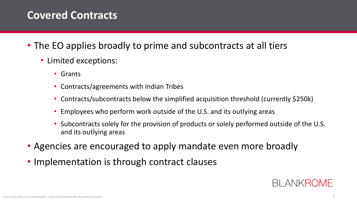## **Covered Contracts**

- The EO applies broadly to prime and subcontracts at all tiers
	- Limited exceptions:
		- Grants
		- Contracts/agreements with Indian Tribes
		- Contracts/subcontracts below the simplified acquisition threshold (currently \$250k)
		- Employees who perform work outside of the U.S. and its outlying areas
		- Subcontracts solely for the provision of products or solely performed outside of the U.S. and its outlying areas
- Agencies are encouraged to apply mandate even more broadly
- Implementation is through contract clauses

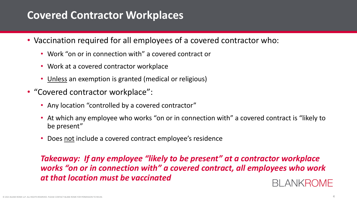## **Covered Contractor Workplaces**

- Vaccination required for all employees of a covered contractor who:
	- Work "on or in connection with" a covered contract or
	- Work at a covered contractor workplace
	- Unless an exemption is granted (medical or religious)
- "Covered contractor workplace":
	- Any location "controlled by a covered contractor"
	- At which any employee who works "on or in connection with" a covered contract is "likely to be present"
	- Does not include a covered contract employee's residence

#### *Takeaway: If any employee "likely to be present" at a contractor workplace works "on or in connection with" a covered contract, all employees who work at that location must be vaccinated* BI ANKROME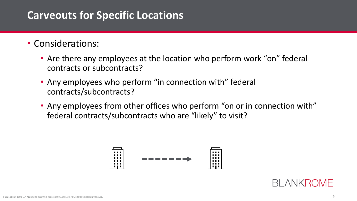## **Carveouts for Specific Locations**

#### • Considerations:

- Are there any employees at the location who perform work "on" federal contracts or subcontracts?
- Any employees who perform "in connection with" federal contracts/subcontracts?
- Any employees from other offices who perform "on or in connection with" federal contracts/subcontracts who are "likely" to visit?



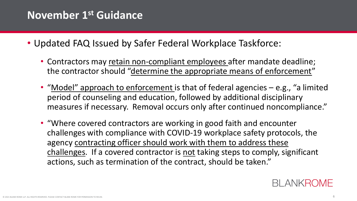## **November 1st Guidance**

- Updated FAQ Issued by Safer Federal Workplace Taskforce:
	- Contractors may retain non-compliant employees after mandate deadline; the contractor should "determine the appropriate means of enforcement"
	- "Model" approach to enforcement is that of federal agencies e.g., "a limited period of counseling and education, followed by additional disciplinary measures if necessary. Removal occurs only after continued noncompliance."
	- "Where covered contractors are working in good faith and encounter challenges with compliance with COVID-19 workplace safety protocols, the agency contracting officer should work with them to address these challenges. If a covered contractor is not taking steps to comply, significant actions, such as termination of the contract, should be taken."

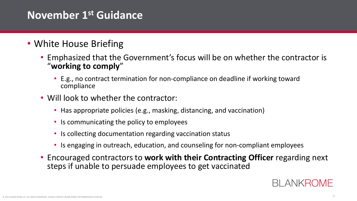## **November 1st Guidance**

- White House Briefing
	- Emphasized that the Government's focus will be on whether the contractor is "**working to comply**"
		- E.g., no contract termination for non-compliance on deadline if working toward compliance
	- Will look to whether the contractor:
		- Has appropriate policies (e.g., masking, distancing, and vaccination)
		- Is communicating the policy to employees
		- Is collecting documentation regarding vaccination status
		- Is engaging in outreach, education, and counseling for non-compliant employees
	- Encouraged contractors to **work with their Contracting Officer** regarding next steps if unable to persuade employees to get vaccinated

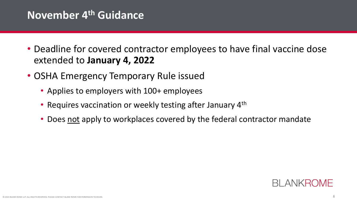## **November 4th Guidance**

- Deadline for covered contractor employees to have final vaccine dose extended to **January 4, 2022**
- OSHA Emergency Temporary Rule issued
	- Applies to employers with 100+ employees
	- Requires vaccination or weekly testing after January 4<sup>th</sup>
	- Does not apply to workplaces covered by the federal contractor mandate

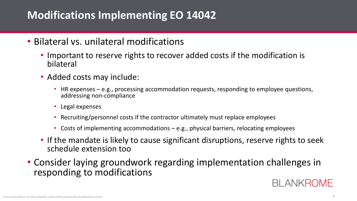## **Modifications Implementing EO 14042**

- Bilateral vs. unilateral modifications
	- Important to reserve rights to recover added costs if the modification is bilateral
	- Added costs may include:
		- HR expenses e.g., processing accommodation requests, responding to employee questions, addressing non-compliance
		- Legal expenses
		- Recruiting/personnel costs if the contractor ultimately must replace employees
		- Costs of implementing accommodations e.g., physical barriers, relocating employees
	- If the mandate is likely to cause significant disruptions, reserve rights to seek schedule extension too
- Consider laying groundwork regarding implementation challenges in responding to modifications

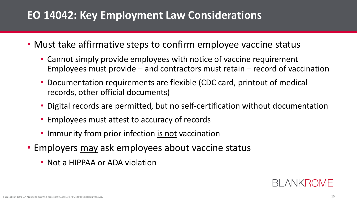## **EO 14042: Key Employment Law Considerations**

- Must take affirmative steps to confirm employee vaccine status
	- Cannot simply provide employees with notice of vaccine requirement Employees must provide – and contractors must retain – record of vaccination
	- Documentation requirements are flexible (CDC card, printout of medical records, other official documents)
	- Digital records are permitted, but no self-certification without documentation
	- Employees must attest to accuracy of records
	- Immunity from prior infection is not vaccination
- Employers may ask employees about vaccine status
	- Not a HIPPAA or ADA violation

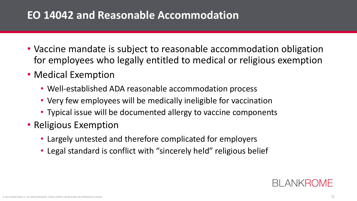## **EO 14042 and Reasonable Accommodation**

- Vaccine mandate is subject to reasonable accommodation obligation for employees who legally entitled to medical or religious exemption
- Medical Exemption
	- Well-established ADA reasonable accommodation process
	- Very few employees will be medically ineligible for vaccination
	- Typical issue will be documented allergy to vaccine components
- Religious Exemption
	- Largely untested and therefore complicated for employers
	- Legal standard is conflict with "sincerely held" religious belief

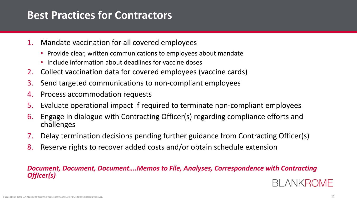## **Best Practices for Contractors**

- 1. Mandate vaccination for all covered employees
	- Provide clear, written communications to employees about mandate
	- Include information about deadlines for vaccine doses
- 2. Collect vaccination data for covered employees (vaccine cards)
- 3. Send targeted communications to non-compliant employees
- 4. Process accommodation requests
- 5. Evaluate operational impact if required to terminate non-compliant employees
- 6. Engage in dialogue with Contracting Officer(s) regarding compliance efforts and challenges
- 7. Delay termination decisions pending further guidance from Contracting Officer(s)
- 8. Reserve rights to recover added costs and/or obtain schedule extension

#### *Document, Document, Document….Memos to File, Analyses, Correspondence with Contracting Officer(s)*

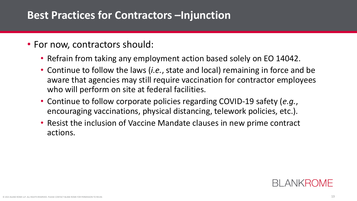#### **Best Practices for Contractors –Injunction**

- For now, contractors should:
	- Refrain from taking any employment action based solely on EO 14042.
	- Continue to follow the laws (*i.e.*, state and local) remaining in force and be aware that agencies may still require vaccination for contractor employees who will perform on site at federal facilities.
	- Continue to follow corporate policies regarding COVID-19 safety (*e.g.*, encouraging vaccinations, physical distancing, telework policies, etc.).
	- Resist the inclusion of Vaccine Mandate clauses in new prime contract actions.